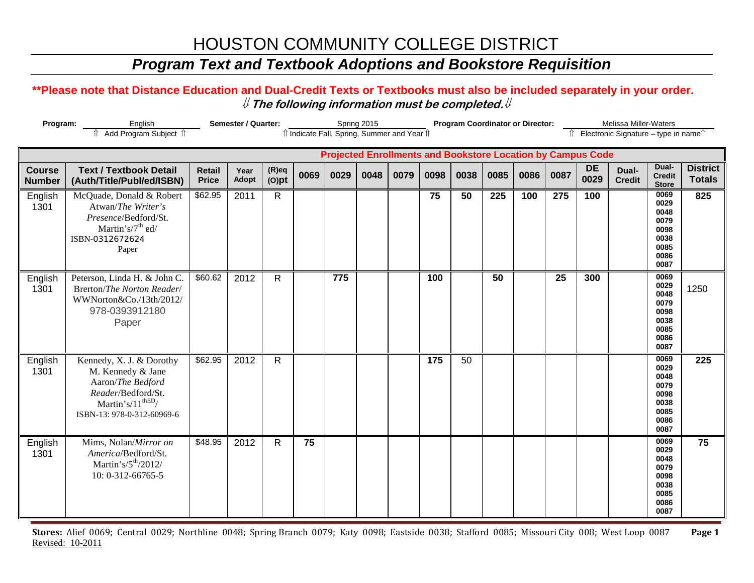### *Program Text and Textbook Adoptions and Bookstore Requisition*

#### **\*\*Please note that Distance Education and Dual-Credit Texts or Textbooks must also be included separately in your order.**  ⇓ **The following information must be completed.**⇓

| Program:                       | Semester / Quarter:                                                                                                                                      |                               |               | Spring 2015          | îl Indicate Fall, Spring, Summer and Year îl |      | <b>Program Coordinator or Director:</b> |                                                                    |      |      |      | Melissa Miller-Waters<br>Electronic Signature - type in namell |      |                   |                        |                                                                      |                                  |
|--------------------------------|----------------------------------------------------------------------------------------------------------------------------------------------------------|-------------------------------|---------------|----------------------|----------------------------------------------|------|-----------------------------------------|--------------------------------------------------------------------|------|------|------|----------------------------------------------------------------|------|-------------------|------------------------|----------------------------------------------------------------------|----------------------------------|
|                                | Add Program Subject 1                                                                                                                                    |                               |               |                      |                                              |      |                                         | <b>Projected Enrollments and Bookstore Location by Campus Code</b> |      |      |      |                                                                |      |                   |                        |                                                                      |                                  |
| <b>Course</b><br><b>Number</b> | <b>Text / Textbook Detail</b><br>(Auth/Title/Publ/ed/ISBN)                                                                                               | <b>Retail</b><br><b>Price</b> | Year<br>Adopt | $(R)$ eq<br>$(O)$ pt | 0069                                         | 0029 | 0048                                    | 0079                                                               | 0098 | 0038 | 0085 | 0086                                                           | 0087 | <b>DE</b><br>0029 | Dual-<br><b>Credit</b> | Dual-<br><b>Credit</b><br><b>Store</b>                               | <b>District</b><br><b>Totals</b> |
| English<br>1301                | McQuade, Donald & Robert<br>Atwan/The Writer's<br>Presence/Bedford/St.<br>Martin's/7 <sup>th</sup> ed/<br>ISBN-0312672624<br>Paper                       | \$62.95                       | 2011          | $\mathsf{R}$         |                                              |      |                                         |                                                                    | 75   | 50   | 225  | 100                                                            | 275  | 100               |                        | 0069<br>0029<br>0048<br>0079<br>0098<br>0038<br>0085<br>0086<br>0087 | 825                              |
| English<br>1301                | Peterson, Linda H. & John C.<br>Brerton/The Norton Reader/<br>WWNorton&Co./13th/2012/<br>978-0393912180<br>Paper                                         | \$60.62                       | 2012          | $\mathsf{R}$         |                                              | 775  |                                         |                                                                    | 100  |      | 50   |                                                                | 25   | 300               |                        | 0069<br>0029<br>0048<br>0079<br>0098<br>0038<br>0085<br>0086<br>0087 | 1250                             |
| English<br>1301                | Kennedy, X. J. & Dorothy<br>M. Kennedy & Jane<br>Aaron/The Bedford<br>Reader/Bedford/St.<br>Martin's/ $11^{\text{thED}}$ /<br>ISBN-13: 978-0-312-60969-6 | \$62.95                       | 2012          | $\mathsf{R}$         |                                              |      |                                         |                                                                    | 175  | 50   |      |                                                                |      |                   |                        | 0069<br>0029<br>0048<br>0079<br>0098<br>0038<br>0085<br>0086<br>0087 | 225                              |
| English<br>1301                | Mims, Nolan/Mirror on<br>America/Bedford/St.<br>Martin's/ $5th/2012/$<br>10: 0-312-66765-5                                                               | \$48.95                       | 2012          | $\mathsf{R}$         | 75                                           |      |                                         |                                                                    |      |      |      |                                                                |      |                   |                        | 0069<br>0029<br>0048<br>0079<br>0098<br>0038<br>0085<br>0086<br>0087 | 75                               |

**Stores:** Alief 0069; Central 0029; Northline 0048; Spring Branch 0079; Katy 0098; Eastside 0038; Stafford 0085; Missouri City 008; West Loop 0087 **Page 1** Revised: 10-2011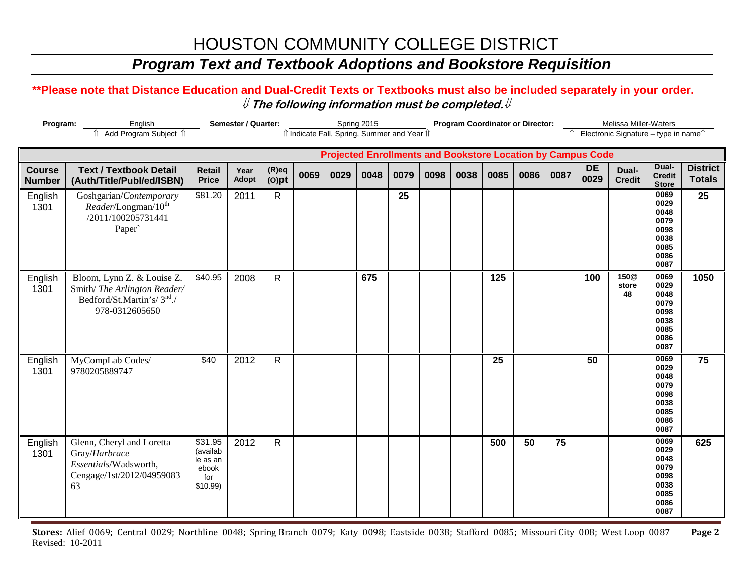### *Program Text and Textbook Adoptions and Bookstore Requisition*

#### **\*\*Please note that Distance Education and Dual-Credit Texts or Textbooks must also be included separately in your order.**  ⇓ **The following information must be completed.**⇓

| Program:                       | English<br>Add Program Subject 1                                                                                      | Semester / Quarter:                                           |                      |                      | Spring 2015 | îl Indicate Fall, Spring, Summer and Year îl |      |      | <b>Program Coordinator or Director:</b> |      |                  |      | Melissa Miller-Waters<br>î Electronic Signature - type in nameî |                                                                    |                        |                                                                      |                                  |
|--------------------------------|-----------------------------------------------------------------------------------------------------------------------|---------------------------------------------------------------|----------------------|----------------------|-------------|----------------------------------------------|------|------|-----------------------------------------|------|------------------|------|-----------------------------------------------------------------|--------------------------------------------------------------------|------------------------|----------------------------------------------------------------------|----------------------------------|
|                                |                                                                                                                       |                                                               |                      |                      |             |                                              |      |      |                                         |      |                  |      |                                                                 | <b>Projected Enrollments and Bookstore Location by Campus Code</b> |                        |                                                                      |                                  |
| <b>Course</b><br><b>Number</b> | <b>Text / Textbook Detail</b><br>(Auth/Title/Publ/ed/ISBN)                                                            | <b>Retail</b><br><b>Price</b>                                 | Year<br><b>Adopt</b> | $(R)$ eq<br>$(O)$ pt | 0069        | 0029                                         | 0048 | 0079 | 0098                                    | 0038 | 0085             | 0086 | 0087                                                            | <b>DE</b><br>0029                                                  | Dual-<br><b>Credit</b> | Dual-<br><b>Credit</b><br><b>Store</b>                               | <b>District</b><br><b>Totals</b> |
| English<br>1301                | Goshgarian/Contemporary<br>Reader/Longman/10 <sup>th</sup><br>/2011/100205731441<br>Paper`                            | \$81.20                                                       | 2011                 | $\mathsf{R}$         |             |                                              |      | 25   |                                         |      |                  |      |                                                                 |                                                                    |                        | 0069<br>0029<br>0048<br>0079<br>0098<br>0038<br>0085<br>0086<br>0087 | 25                               |
| English<br>1301                | Bloom, Lynn Z. & Louise Z.<br>Smith/The Arlington Reader/<br>Bedford/St.Martin's/3 <sup>nd</sup> ./<br>978-0312605650 | \$40.95                                                       | 2008                 | $\mathsf{R}$         |             |                                              | 675  |      |                                         |      | $\overline{125}$ |      |                                                                 | 100                                                                | 150@<br>store<br>48    | 0069<br>0029<br>0048<br>0079<br>0098<br>0038<br>0085<br>0086<br>0087 | 1050                             |
| English<br>1301                | MyCompLab Codes/<br>9780205889747                                                                                     | \$40                                                          | 2012                 | $\mathsf{R}$         |             |                                              |      |      |                                         |      | 25               |      |                                                                 | 50                                                                 |                        | 0069<br>0029<br>0048<br>0079<br>0098<br>0038<br>0085<br>0086<br>0087 | 75                               |
| English<br>1301                | Glenn, Cheryl and Loretta<br>Gray/Harbrace<br>Essentials/Wadsworth,<br>Cengage/1st/2012/04959083<br>63                | \$31.95<br>(availab<br>le as an<br>ebook<br>for<br>$$10.99$ ) | 2012                 | $\mathsf{R}$         |             |                                              |      |      |                                         |      | 500              | 50   | 75                                                              |                                                                    |                        | 0069<br>0029<br>0048<br>0079<br>0098<br>0038<br>0085<br>0086<br>0087 | 625                              |

**Stores:** Alief 0069; Central 0029; Northline 0048; Spring Branch 0079; Katy 0098; Eastside 0038; Stafford 0085; Missouri City 008; West Loop 0087 **Page 2** Revised: 10-2011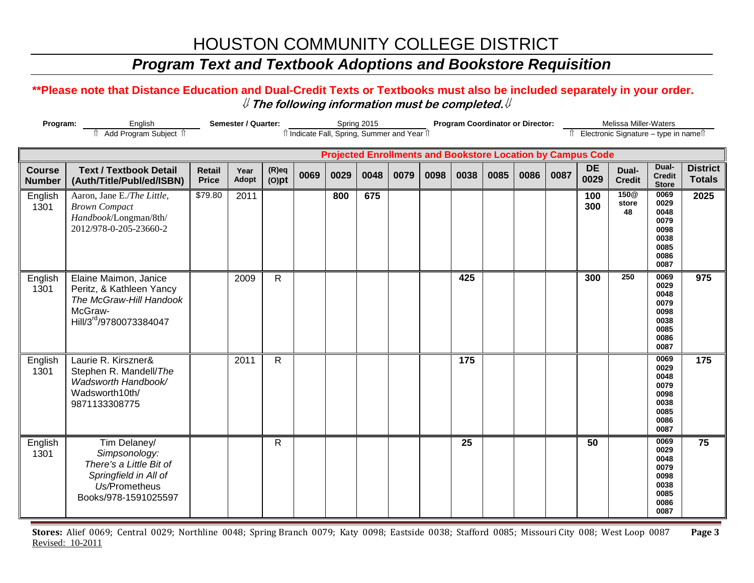### *Program Text and Textbook Adoptions and Bookstore Requisition*

#### **\*\*Please note that Distance Education and Dual-Credit Texts or Textbooks must also be included separately in your order.**  ⇓ **The following information must be completed.**⇓

| Program:                       | English<br>Add Program Subject 1                                                                                           | Semester / Quarter:           |               |                      | Spring 2015 | îl Indicate Fall, Spring, Summer and Year îl |      |      | <b>Program Coordinator or Director:</b> |      |                                                                    |      | Melissa Miller-Waters<br>Electronic Signature - type in namell |                   |                                 |                                                                      |                                  |
|--------------------------------|----------------------------------------------------------------------------------------------------------------------------|-------------------------------|---------------|----------------------|-------------|----------------------------------------------|------|------|-----------------------------------------|------|--------------------------------------------------------------------|------|----------------------------------------------------------------|-------------------|---------------------------------|----------------------------------------------------------------------|----------------------------------|
|                                |                                                                                                                            |                               |               |                      |             |                                              |      |      |                                         |      | <b>Projected Enrollments and Bookstore Location by Campus Code</b> |      |                                                                |                   |                                 |                                                                      |                                  |
| <b>Course</b><br><b>Number</b> | <b>Text / Textbook Detail</b><br>(Auth/Title/Publ/ed/ISBN)                                                                 | <b>Retail</b><br><b>Price</b> | Year<br>Adopt | $(R)$ eq<br>$(O)$ pt | 0069        | 0029                                         | 0048 | 0079 | 0098                                    | 0038 | 0085                                                               | 0086 | 0087                                                           | <b>DE</b><br>0029 | Dual-<br><b>Credit</b>          | Dual-<br><b>Credit</b><br><b>Store</b>                               | <b>District</b><br><b>Totals</b> |
| English<br>1301                | Aaron, Jane E./The Little,<br><b>Brown Compact</b><br>Handbook/Longman/8th/<br>2012/978-0-205-23660-2                      | \$79.80                       | 2011          |                      |             | 800                                          | 675  |      |                                         |      |                                                                    |      |                                                                | 100<br>300        | 150 <sub>@</sub><br>store<br>48 | 0069<br>0029<br>0048<br>0079<br>0098<br>0038<br>0085<br>0086<br>0087 | 2025                             |
| English<br>1301                | Elaine Maimon, Janice<br>Peritz, & Kathleen Yancy<br>The McGraw-Hill Handook<br>McGraw-<br>Hill/3rd/9780073384047          |                               | 2009          | $\mathsf{R}$         |             |                                              |      |      |                                         | 425  |                                                                    |      |                                                                | 300               | 250                             | 0069<br>0029<br>0048<br>0079<br>0098<br>0038<br>0085<br>0086<br>0087 | 975                              |
| English<br>1301                | Laurie R. Kirszner&<br>Stephen R. Mandell/The<br>Wadsworth Handbook/<br>Wadsworth10th/<br>9871133308775                    |                               | 2011          | $\mathsf{R}$         |             |                                              |      |      |                                         | 175  |                                                                    |      |                                                                |                   |                                 | 0069<br>0029<br>0048<br>0079<br>0098<br>0038<br>0085<br>0086<br>0087 | 175                              |
| English<br>1301                | Tim Delaney/<br>Simpsonology:<br>There's a Little Bit of<br>Springfield in All of<br>Us/Prometheus<br>Books/978-1591025597 |                               |               | R                    |             |                                              |      |      |                                         | 25   |                                                                    |      |                                                                | 50                |                                 | 0069<br>0029<br>0048<br>0079<br>0098<br>0038<br>0085<br>0086<br>0087 | 75                               |

**Stores:** Alief 0069; Central 0029; Northline 0048; Spring Branch 0079; Katy 0098; Eastside 0038; Stafford 0085; Missouri City 008; West Loop 0087 **Page 3** Revised: 10-2011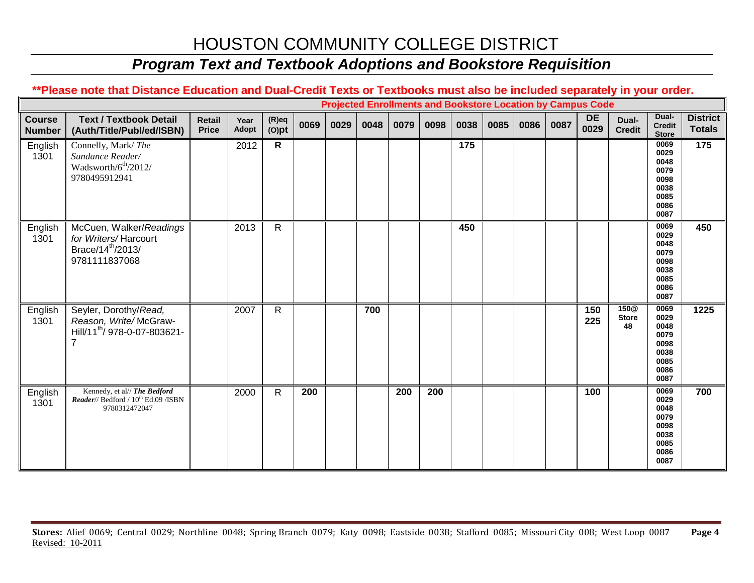### *Program Text and Textbook Adoptions and Bookstore Requisition*

#### **\*\*Please note that Distance Education and Dual-Credit Texts or Textbooks must also be included separately in your order.**

|                                |                                                                                                   |                        |               |                      |      |      | <b>Projected Enrollments and Bookstore Location by Campus Code</b> |      |      |      |      |      |      |                   |                                        |                                                                      |                                  |
|--------------------------------|---------------------------------------------------------------------------------------------------|------------------------|---------------|----------------------|------|------|--------------------------------------------------------------------|------|------|------|------|------|------|-------------------|----------------------------------------|----------------------------------------------------------------------|----------------------------------|
| <b>Course</b><br><b>Number</b> | <b>Text / Textbook Detail</b><br>(Auth/Title/Publ/ed/ISBN)                                        | Retail<br><b>Price</b> | Year<br>Adopt | $(R)$ eq<br>$(O)$ pt | 0069 | 0029 | 0048                                                               | 0079 | 0098 | 0038 | 0085 | 0086 | 0087 | <b>DE</b><br>0029 | Dual-<br><b>Credit</b>                 | Dual-<br><b>Credit</b><br><b>Store</b>                               | <b>District</b><br><b>Totals</b> |
| English<br>1301                | Connelly, Mark/The<br>Sundance Reader/<br>Wadsworth/6 <sup>th</sup> /2012/<br>9780495912941       |                        | 2012          | $\mathsf{R}$         |      |      |                                                                    |      |      | 175  |      |      |      |                   |                                        | 0069<br>0029<br>0048<br>0079<br>0098<br>0038<br>0085<br>0086<br>0087 | 175                              |
| English<br>1301                | McCuen, Walker/Readings<br>for Writers/Harcourt<br>Brace/14 <sup>th</sup> /2013/<br>9781111837068 |                        | 2013          | $\mathsf{R}$         |      |      |                                                                    |      |      | 450  |      |      |      |                   |                                        | 0069<br>0029<br>0048<br>0079<br>0098<br>0038<br>0085<br>0086<br>0087 | 450                              |
| English<br>1301                | Seyler, Dorothy/Read,<br>Reason, Write/McGraw-<br>Hill/11 <sup>th</sup> / 978-0-07-803621-        |                        | 2007          | R.                   |      |      | 700                                                                |      |      |      |      |      |      | 150<br>225        | 150 <sub>@</sub><br><b>Store</b><br>48 | 0069<br>0029<br>0048<br>0079<br>0098<br>0038<br>0085<br>0086<br>0087 | 1225                             |
| English<br>1301                | Kennedy, et al// The Bedford<br>Reader// Bedford / 10 <sup>th</sup> Ed.09 /ISBN<br>9780312472047  |                        | 2000          | $\mathsf{R}$         | 200  |      |                                                                    | 200  | 200  |      |      |      |      | 100               |                                        | 0069<br>0029<br>0048<br>0079<br>0098<br>0038<br>0085<br>0086<br>0087 | 700                              |

**Stores:** Alief 0069; Central 0029; Northline 0048; Spring Branch 0079; Katy 0098; Eastside 0038; Stafford 0085; Missouri City 008; West Loop 0087 **Page 4** Revised: 10-2011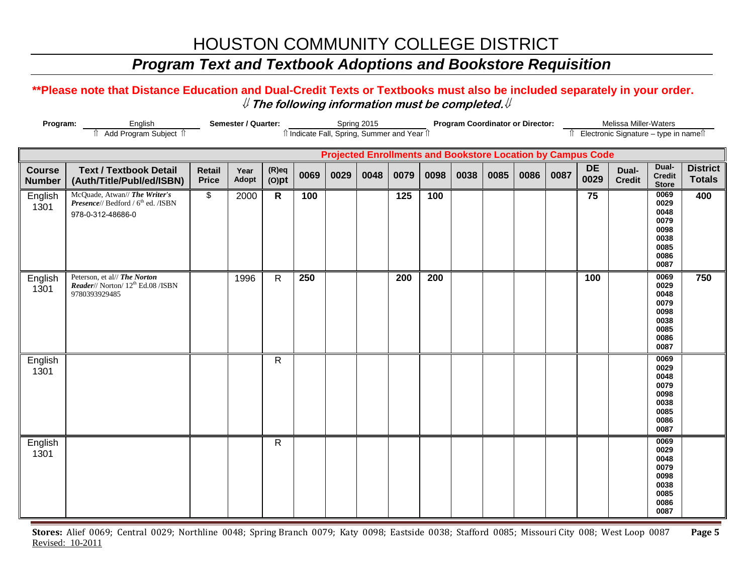### *Program Text and Textbook Adoptions and Bookstore Requisition*

#### **\*\*Please note that Distance Education and Dual-Credit Texts or Textbooks must also be included separately in your order.**  ⇓ **The following information must be completed.**⇓

| Program:                       | Semester / Quarter:                                                                                  | îl Indicate Fall, Spring, Summer and Year îl |               | Spring 2015          |      |      | <b>Program Coordinator or Director:</b> |      |      |                                                                    |      | Melissa Miller-Waters<br>Electronic Signature - type in namest |      |            |                        |                                                                      |                                  |
|--------------------------------|------------------------------------------------------------------------------------------------------|----------------------------------------------|---------------|----------------------|------|------|-----------------------------------------|------|------|--------------------------------------------------------------------|------|----------------------------------------------------------------|------|------------|------------------------|----------------------------------------------------------------------|----------------------------------|
|                                |                                                                                                      |                                              |               |                      |      |      |                                         |      |      | <b>Projected Enrollments and Bookstore Location by Campus Code</b> |      |                                                                |      |            |                        |                                                                      |                                  |
| <b>Course</b><br><b>Number</b> | <b>Text / Textbook Detail</b><br>(Auth/Title/Publ/ed/ISBN)                                           | <b>Retail</b><br><b>Price</b>                | Year<br>Adopt | $(R)$ eq<br>$(O)$ pt | 0069 | 0029 | 0048                                    | 0079 | 0098 | 0038                                                               | 0085 | 0086                                                           | 0087 | DE<br>0029 | Dual-<br><b>Credit</b> | Dual-<br><b>Credit</b><br><b>Store</b>                               | <b>District</b><br><b>Totals</b> |
| English<br>1301                | McQuade, Atwan// The Writer's<br>Presence// Bedford / 6 <sup>th</sup> ed. /ISBN<br>978-0-312-48686-0 | \$                                           | 2000          | $\mathsf{R}$         | 100  |      |                                         | 125  | 100  |                                                                    |      |                                                                |      | 75         |                        | 0069<br>0029<br>0048<br>0079<br>0098<br>0038<br>0085<br>0086<br>0087 | 400                              |
| English<br>1301                | Peterson, et al// The Norton<br>Reader// Norton/ 12 <sup>th</sup> Ed.08 /ISBN<br>9780393929485       |                                              | 1996          | $\mathsf{R}$         | 250  |      |                                         | 200  | 200  |                                                                    |      |                                                                |      | 100        |                        | 0069<br>0029<br>0048<br>0079<br>0098<br>0038<br>0085<br>0086<br>0087 | 750                              |
| English<br>1301                |                                                                                                      |                                              |               | $\mathsf{R}$         |      |      |                                         |      |      |                                                                    |      |                                                                |      |            |                        | 0069<br>0029<br>0048<br>0079<br>0098<br>0038<br>0085<br>0086<br>0087 |                                  |
| English<br>1301                |                                                                                                      |                                              |               | $\mathsf{R}$         |      |      |                                         |      |      |                                                                    |      |                                                                |      |            |                        | 0069<br>0029<br>0048<br>0079<br>0098<br>0038<br>0085<br>0086<br>0087 |                                  |

**Stores:** Alief 0069; Central 0029; Northline 0048; Spring Branch 0079; Katy 0098; Eastside 0038; Stafford 0085; Missouri City 008; West Loop 0087 **Page 5** Revised: 10-2011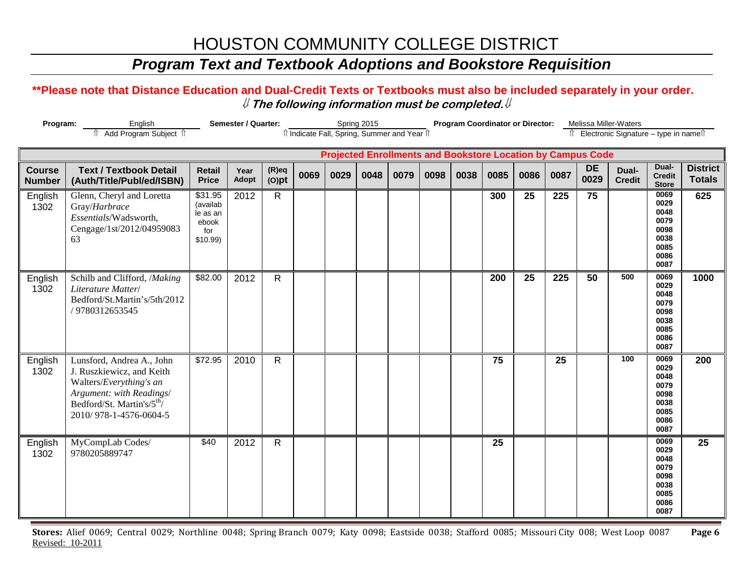### *Program Text and Textbook Adoptions and Bookstore Requisition*

#### **\*\*Please note that Distance Education and Dual-Credit Texts or Textbooks must also be included separately in your order.**  ⇓ **The following information must be completed.**⇓

| Program:                       | English                                                                                                                                                                           | Semester / Quarter:                                           |               |                      | Spring 2015 |      |      | Program Coordinator or Director:             |      |                                                                    |      |      | Melissa Miller-Waters |                   |                                          |                                                                      |                                  |
|--------------------------------|-----------------------------------------------------------------------------------------------------------------------------------------------------------------------------------|---------------------------------------------------------------|---------------|----------------------|-------------|------|------|----------------------------------------------|------|--------------------------------------------------------------------|------|------|-----------------------|-------------------|------------------------------------------|----------------------------------------------------------------------|----------------------------------|
|                                | Add Program Subject 1                                                                                                                                                             |                                                               |               |                      |             |      |      | îl Indicate Fall, Spring, Summer and Year îl |      |                                                                    |      |      |                       |                   | Îl Electronic Signature - type in nameîl |                                                                      |                                  |
|                                |                                                                                                                                                                                   |                                                               |               |                      |             |      |      |                                              |      | <b>Projected Enrollments and Bookstore Location by Campus Code</b> |      |      |                       |                   |                                          |                                                                      |                                  |
| <b>Course</b><br><b>Number</b> | <b>Text / Textbook Detail</b><br>(Auth/Title/Publ/ed/ISBN)                                                                                                                        | <b>Retail</b><br><b>Price</b>                                 | Year<br>Adopt | $(R)$ eq<br>$(O)$ pt | 0069        | 0029 | 0048 | 0079                                         | 0098 | 0038                                                               | 0085 | 0086 | 0087                  | <b>DE</b><br>0029 | Dual-<br><b>Credit</b>                   | Dual-<br><b>Credit</b><br><b>Store</b>                               | <b>District</b><br><b>Totals</b> |
| English<br>1302                | Glenn, Cheryl and Loretta<br>Gray/Harbrace<br>Essentials/Wadsworth,<br>Cengage/1st/2012/04959083<br>63                                                                            | \$31.95<br>(availab<br>le as an<br>ebook<br>for<br>$$10.99$ ) | 2012          | $\mathsf{R}$         |             |      |      |                                              |      |                                                                    | 300  | 25   | 225                   | 75                |                                          | 0069<br>0029<br>0048<br>0079<br>0098<br>0038<br>0085<br>0086<br>0087 | 625                              |
| English<br>1302                | Schilb and Clifford, /Making<br>Literature Matter/<br>Bedford/St.Martin's/5th/2012<br>/9780312653545                                                                              | \$82.00                                                       | 2012          | $\mathsf{R}$         |             |      |      |                                              |      |                                                                    | 200  | 25   | 225                   | $\overline{50}$   | 500                                      | 0069<br>0029<br>0048<br>0079<br>0098<br>0038<br>0085<br>0086<br>0087 | 1000                             |
| English<br>1302                | Lunsford, Andrea A., John<br>J. Ruszkiewicz, and Keith<br>Walters/Everything's an<br>Argument: with Readings/<br>Bedford/St. Martin's/5 <sup>th</sup> /<br>2010/978-1-4576-0604-5 | \$72.95                                                       | 2010          | $\mathsf{R}$         |             |      |      |                                              |      |                                                                    | 75   |      | 25                    |                   | 100                                      | 0069<br>0029<br>0048<br>0079<br>0098<br>0038<br>0085<br>0086<br>0087 | 200                              |
| English<br>1302                | MyCompLab Codes/<br>9780205889747                                                                                                                                                 | \$40                                                          | 2012          | $\mathsf{R}$         |             |      |      |                                              |      |                                                                    | 25   |      |                       |                   |                                          | 0069<br>0029<br>0048<br>0079<br>0098<br>0038<br>0085<br>0086<br>0087 | 25                               |

**Stores:** Alief 0069; Central 0029; Northline 0048; Spring Branch 0079; Katy 0098; Eastside 0038; Stafford 0085; Missouri City 008; West Loop 0087 **Page 6** Revised: 10-2011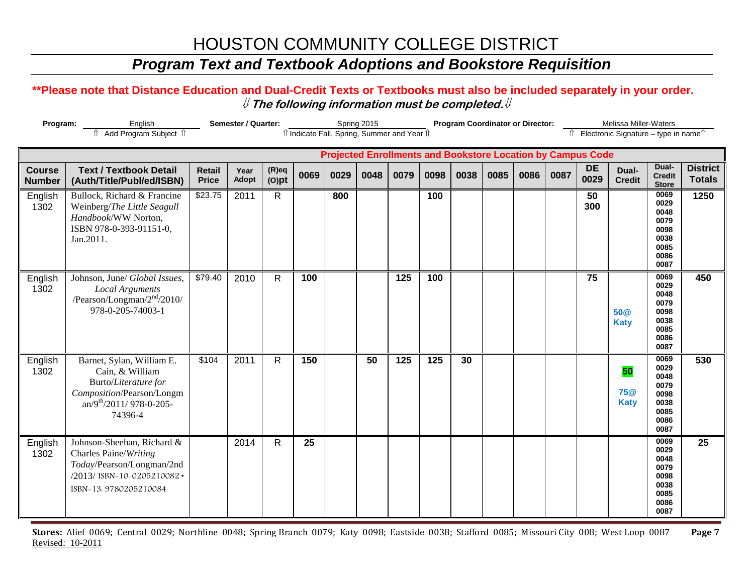### *Program Text and Textbook Adoptions and Bookstore Requisition*

#### **\*\*Please note that Distance Education and Dual-Credit Texts or Textbooks must also be included separately in your order.**  ⇓ **The following information must be completed.**⇓

| Program:                       | Semester / Quarter:                                                                                                                         | îl Indicate Fall, Spring, Summer and Year îl |                      | Spring 2015          |      |      |      | <b>Program Coordinator or Director:</b> |      |      |                                                                    | Melissa Miller-Waters<br>Electronic Signature - type in names |      |                   |                                 |                                                                      |                                  |
|--------------------------------|---------------------------------------------------------------------------------------------------------------------------------------------|----------------------------------------------|----------------------|----------------------|------|------|------|-----------------------------------------|------|------|--------------------------------------------------------------------|---------------------------------------------------------------|------|-------------------|---------------------------------|----------------------------------------------------------------------|----------------------------------|
|                                | Add Program Subject 1                                                                                                                       |                                              |                      |                      |      |      |      |                                         |      |      | <b>Projected Enrollments and Bookstore Location by Campus Code</b> |                                                               |      |                   |                                 |                                                                      |                                  |
| <b>Course</b><br><b>Number</b> | <b>Text / Textbook Detail</b><br>(Auth/Title/Publ/ed/ISBN)                                                                                  | <b>Retail</b><br><b>Price</b>                | Year<br><b>Adopt</b> | $(R)$ eq<br>$(O)$ pt | 0069 | 0029 | 0048 | 0079                                    | 0098 | 0038 | 0085                                                               | 0086                                                          | 0087 | <b>DE</b><br>0029 | Dual-<br><b>Credit</b>          | Dual-<br><b>Credit</b><br><b>Store</b>                               | <b>District</b><br><b>Totals</b> |
| English<br>1302                | Bullock, Richard & Francine<br>Weinberg/The Little Seagull<br>Handbook/WW Norton,<br>ISBN 978-0-393-91151-0,<br>Jan.2011.                   | \$23.75                                      | 2011                 | $\mathsf{R}$         |      | 800  |      |                                         | 100  |      |                                                                    |                                                               |      | 50<br>300         |                                 | 0069<br>0029<br>0048<br>0079<br>0098<br>0038<br>0085<br>0086<br>0087 | 1250                             |
| English<br>1302                | Johnson, June/ Global Issues,<br><b>Local Arguments</b><br>/Pearson/Longman/ $2nd/2010/$<br>978-0-205-74003-1                               | \$79.40                                      | 2010                 | R                    | 100  |      |      | 125                                     | 100  |      |                                                                    |                                                               |      | 75                | <b>50@</b><br><b>Katy</b>       | 0069<br>0029<br>0048<br>0079<br>0098<br>0038<br>0085<br>0086<br>0087 | 450                              |
| English<br>1302                | Barnet, Sylan, William E.<br>Cain, & William<br>Burto/Literature for<br>Composition/Pearson/Longm<br>$an/9^{th}/2011/978-0-205-$<br>74396-4 | \$104                                        | 2011                 | $\mathsf{R}$         | 150  |      | 50   | 125                                     | 125  | 30   |                                                                    |                                                               |      |                   | 50<br><b>75@</b><br><b>Katy</b> | 0069<br>0029<br>0048<br>0079<br>0098<br>0038<br>0085<br>0086<br>0087 | 530                              |
| English<br>1302                | Johnson-Sheehan, Richard &<br>Charles Paine/Writing<br>Today/Pearson/Longman/2nd<br>/2013/ ISBN-10. 0205210082 .<br>ISBN-13.9780205210084   |                                              | 2014                 | $\mathsf{R}$         | 25   |      |      |                                         |      |      |                                                                    |                                                               |      |                   |                                 | 0069<br>0029<br>0048<br>0079<br>0098<br>0038<br>0085<br>0086<br>0087 | 25                               |

**Stores:** Alief 0069; Central 0029; Northline 0048; Spring Branch 0079; Katy 0098; Eastside 0038; Stafford 0085; Missouri City 008; West Loop 0087 **Page 7** Revised: 10-2011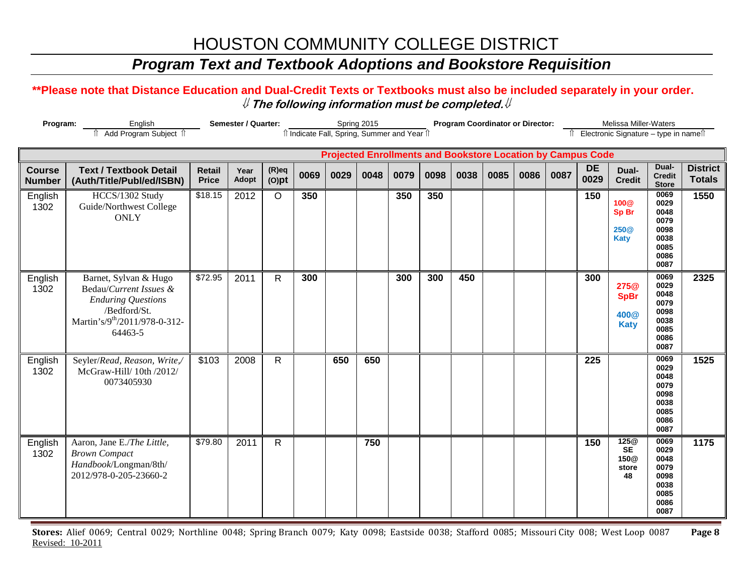### *Program Text and Textbook Adoptions and Bookstore Requisition*

#### **\*\*Please note that Distance Education and Dual-Credit Texts or Textbooks must also be included separately in your order.**  ⇓ **The following information must be completed.**⇓

| Program:                       | English<br>Add Program Subject 1                                                                                                        | Semester / Quarter:           |               |                      |      |      | Spring 2015 | îl Indicate Fall, Spring, Summer and Year îl |      |      | <b>Program Coordinator or Director:</b>                            |      |      |                   | Melissa Miller-Waters<br>Electronic Signature - type in namell |                                                                      |                                  |
|--------------------------------|-----------------------------------------------------------------------------------------------------------------------------------------|-------------------------------|---------------|----------------------|------|------|-------------|----------------------------------------------|------|------|--------------------------------------------------------------------|------|------|-------------------|----------------------------------------------------------------|----------------------------------------------------------------------|----------------------------------|
|                                |                                                                                                                                         |                               |               |                      |      |      |             |                                              |      |      | <b>Projected Enrollments and Bookstore Location by Campus Code</b> |      |      |                   |                                                                |                                                                      |                                  |
| <b>Course</b><br><b>Number</b> | <b>Text / Textbook Detail</b><br>(Auth/Title/Publ/ed/ISBN)                                                                              | <b>Retail</b><br><b>Price</b> | Year<br>Adopt | $(R)$ eq<br>$(O)$ pt | 0069 | 0029 | 0048        | 0079                                         | 0098 | 0038 | 0085                                                               | 0086 | 0087 | <b>DE</b><br>0029 | Dual-<br><b>Credit</b>                                         | Dual-<br><b>Credit</b><br><b>Store</b>                               | <b>District</b><br><b>Totals</b> |
| English<br>1302                | HCCS/1302 Study<br>Guide/Northwest College<br><b>ONLY</b>                                                                               | \$18.15                       | 2012          | $\circ$              | 350  |      |             | 350                                          | 350  |      |                                                                    |      |      | 150               | <b>100@</b><br>Sp Br<br>250 <sub>@</sub><br><b>Katy</b>        | 0069<br>0029<br>0048<br>0079<br>0098<br>0038<br>0085<br>0086<br>0087 | 1550                             |
| English<br>1302                | Barnet, Sylvan & Hugo<br>Bedau/Current Issues &<br><b>Enduring Questions</b><br>/Bedford/St.<br>Martin's/9th/2011/978-0-312-<br>64463-5 | \$72.95                       | 2011          | $\mathsf{R}$         | 300  |      |             | 300                                          | 300  | 450  |                                                                    |      |      | 300               | 275@<br><b>SpBr</b><br>400 <sub>@</sub><br><b>Katy</b>         | 0069<br>0029<br>0048<br>0079<br>0098<br>0038<br>0085<br>0086<br>0087 | 2325                             |
| English<br>1302                | Seyler/Read, Reason, Write,/<br>McGraw-Hill/ 10th /2012/<br>0073405930                                                                  | \$103                         | 2008          | $\mathsf{R}$         |      | 650  | 650         |                                              |      |      |                                                                    |      |      | 225               |                                                                | 0069<br>0029<br>0048<br>0079<br>0098<br>0038<br>0085<br>0086<br>0087 | 1525                             |
| English<br>1302                | Aaron, Jane E./The Little,<br><b>Brown Compact</b><br>Handbook/Longman/8th/<br>2012/978-0-205-23660-2                                   | \$79.80                       | 2011          | $\mathsf{R}$         |      |      | 750         |                                              |      |      |                                                                    |      |      | 150               | 125 <sup>®</sup><br><b>SE</b><br>150@<br>store<br>48           | 0069<br>0029<br>0048<br>0079<br>0098<br>0038<br>0085<br>0086<br>0087 | 1175                             |

**Stores:** Alief 0069; Central 0029; Northline 0048; Spring Branch 0079; Katy 0098; Eastside 0038; Stafford 0085; Missouri City 008; West Loop 0087 **Page 8** Revised: 10-2011